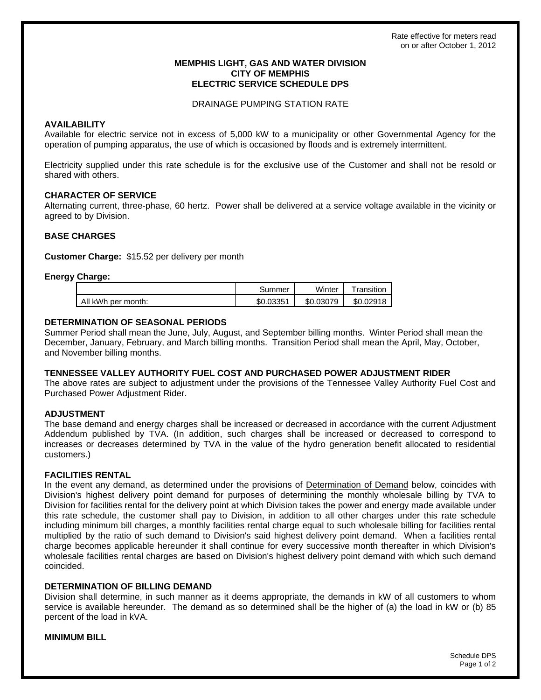### **MEMPHIS LIGHT, GAS AND WATER DIVISION CITY OF MEMPHIS ELECTRIC SERVICE SCHEDULE DPS**

## DRAINAGE PUMPING STATION RATE

## **AVAILABILITY**

Available for electric service not in excess of 5,000 kW to a municipality or other Governmental Agency for the operation of pumping apparatus, the use of which is occasioned by floods and is extremely intermittent.

Electricity supplied under this rate schedule is for the exclusive use of the Customer and shall not be resold or shared with others.

# **CHARACTER OF SERVICE**

Alternating current, three-phase, 60 hertz. Power shall be delivered at a service voltage available in the vicinity or agreed to by Division.

## **BASE CHARGES**

**Customer Charge:** \$15.52 per delivery per month

## **Energy Charge:**

|                    | Summer    | Winter    | Transition |
|--------------------|-----------|-----------|------------|
| All kWh per month: | \$0.03351 | \$0.03079 | \$0.02918  |

## **DETERMINATION OF SEASONAL PERIODS**

Summer Period shall mean the June, July, August, and September billing months. Winter Period shall mean the December, January, February, and March billing months. Transition Period shall mean the April, May, October, and November billing months.

### **TENNESSEE VALLEY AUTHORITY FUEL COST AND PURCHASED POWER ADJUSTMENT RIDER**

The above rates are subject to adjustment under the provisions of the Tennessee Valley Authority Fuel Cost and Purchased Power Adjustment Rider.

## **ADJUSTMENT**

The base demand and energy charges shall be increased or decreased in accordance with the current Adjustment Addendum published by TVA. (In addition, such charges shall be increased or decreased to correspond to increases or decreases determined by TVA in the value of the hydro generation benefit allocated to residential customers.)

### **FACILITIES RENTAL**

In the event any demand, as determined under the provisions of Determination of Demand below, coincides with Division's highest delivery point demand for purposes of determining the monthly wholesale billing by TVA to Division for facilities rental for the delivery point at which Division takes the power and energy made available under this rate schedule, the customer shall pay to Division, in addition to all other charges under this rate schedule including minimum bill charges, a monthly facilities rental charge equal to such wholesale billing for facilities rental multiplied by the ratio of such demand to Division's said highest delivery point demand. When a facilities rental charge becomes applicable hereunder it shall continue for every successive month thereafter in which Division's wholesale facilities rental charges are based on Division's highest delivery point demand with which such demand coincided.

### **DETERMINATION OF BILLING DEMAND**

Division shall determine, in such manner as it deems appropriate, the demands in kW of all customers to whom service is available hereunder. The demand as so determined shall be the higher of (a) the load in kW or (b) 85 percent of the load in kVA.

### **MINIMUM BILL**